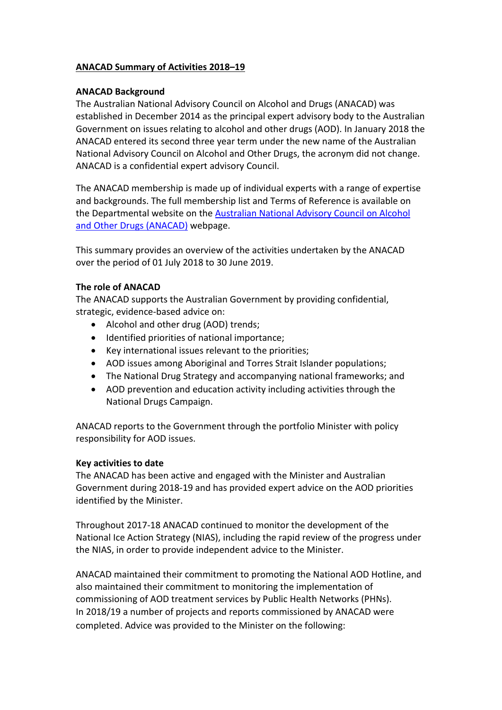# **ANACAD Summary of Activities 2018–19**

## **ANACAD Background**

The Australian National Advisory Council on Alcohol and Drugs (ANACAD) was established in December 2014 as the principal expert advisory body to the Australian Government on issues relating to alcohol and other drugs (AOD). In January 2018 the ANACAD entered its second three year term under the new name of the Australian National Advisory Council on Alcohol and Other Drugs, the acronym did not change. ANACAD is a confidential expert advisory Council.

The ANACAD membership is made up of individual experts with a range of expertise and backgrounds. The full membership list and Terms of Reference is available on the Departmental website on the [Australian National Advisory Council on Alcohol](https://www.health.gov.au/committees-and-groups/australian-national-advisory-council-on-alcohol-and-other-drugs-anacad)  [and Other Drugs \(ANACAD\)](https://www.health.gov.au/committees-and-groups/australian-national-advisory-council-on-alcohol-and-other-drugs-anacad) webpage.

This summary provides an overview of the activities undertaken by the ANACAD over the period of 01 July 2018 to 30 June 2019.

### **The role of ANACAD**

The ANACAD supports the Australian Government by providing confidential, strategic, evidence-based advice on:

- Alcohol and other drug (AOD) trends;
- Identified priorities of national importance;
- Key international issues relevant to the priorities;
- AOD issues among Aboriginal and Torres Strait Islander populations;
- The National Drug Strategy and accompanying national frameworks; and
- AOD prevention and education activity including activities through the National Drugs Campaign.

ANACAD reports to the Government through the portfolio Minister with policy responsibility for AOD issues.

### **Key activities to date**

The ANACAD has been active and engaged with the Minister and Australian Government during 2018-19 and has provided expert advice on the AOD priorities identified by the Minister.

Throughout 2017-18 ANACAD continued to monitor the development of the National Ice Action Strategy (NIAS), including the rapid review of the progress under the NIAS, in order to provide independent advice to the Minister.

ANACAD maintained their commitment to promoting the National AOD Hotline, and also maintained their commitment to monitoring the implementation of commissioning of AOD treatment services by Public Health Networks (PHNs). In 2018/19 a number of projects and reports commissioned by ANACAD were completed. Advice was provided to the Minister on the following: